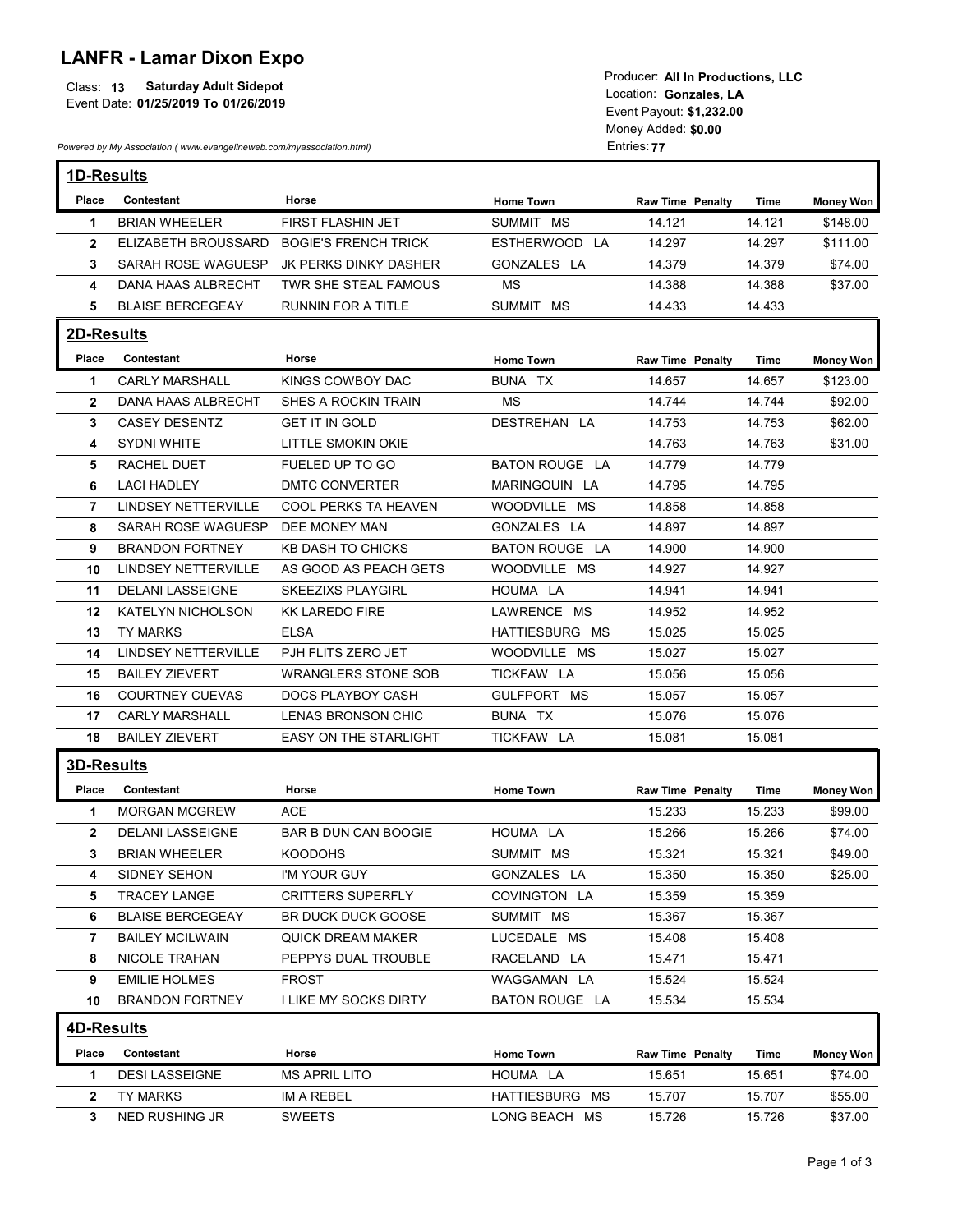## LANFR - Lamar Dixon Expo

|                                            | Todacel. All III FTOQUCHONS. LLC |
|--------------------------------------------|----------------------------------|
| <b>Saturday Adult Sidepot</b><br>Class: 13 | Location: Gonzales. LA           |
| Event Date: 01/25/2019 To 01/26/2019       |                                  |
|                                            | Event Payout: \$1.232.00         |

| <b>LANFR - Lamar Dixon Expo</b><br><b>Saturday Adult Sidepot</b><br>Class: 13<br>Event Date: 01/25/2019 To 01/26/2019<br>Powered by My Association (www.evangelineweb.com/myassociation.html) |                                                   |                                               | Producer: All In Productions, LLC<br>Location: Gonzales, LA<br>Event Payout: \$1,232.00<br>Money Added: \$0.00<br>Entries: 77 |                         |                  |                    |
|-----------------------------------------------------------------------------------------------------------------------------------------------------------------------------------------------|---------------------------------------------------|-----------------------------------------------|-------------------------------------------------------------------------------------------------------------------------------|-------------------------|------------------|--------------------|
| 1D-Results                                                                                                                                                                                    |                                                   |                                               |                                                                                                                               |                         |                  |                    |
| Place                                                                                                                                                                                         | Contestant                                        | Horse                                         | <b>Home Town</b>                                                                                                              | <b>Raw Time Penalty</b> | Time             | <b>Money Won</b>   |
| -1                                                                                                                                                                                            | <b>BRIAN WHEELER</b>                              | FIRST FLASHIN JET                             | SUMMIT MS                                                                                                                     | 14.121                  | 14.121           | \$148.00           |
| $\mathbf{2}$                                                                                                                                                                                  | ELIZABETH BROUSSARD                               | <b>BOGIE'S FRENCH TRICK</b>                   | ESTHERWOOD LA<br>GONZALES LA                                                                                                  | 14.297                  | 14.297<br>14.379 | \$111.00           |
| 3<br>4                                                                                                                                                                                        | SARAH ROSE WAGUESP<br>DANA HAAS ALBRECHT          | JK PERKS DINKY DASHER<br>TWR SHE STEAL FAMOUS | МS                                                                                                                            | 14.379<br>14.388        | 14.388           | \$74.00<br>\$37.00 |
| 5                                                                                                                                                                                             | <b>BLAISE BERCEGEAY</b>                           | RUNNIN FOR A TITLE                            | SUMMIT MS                                                                                                                     | 14.433                  | 14.433           |                    |
|                                                                                                                                                                                               |                                                   |                                               |                                                                                                                               |                         |                  |                    |
| 2D-Results                                                                                                                                                                                    |                                                   |                                               |                                                                                                                               |                         |                  |                    |
| Place                                                                                                                                                                                         | Contestant                                        | Horse                                         | <b>Home Town</b>                                                                                                              | <b>Raw Time Penalty</b> | Time             | <b>Money Won</b>   |
| -1                                                                                                                                                                                            | <b>CARLY MARSHALL</b>                             | KINGS COWBOY DAC                              | BUNA TX                                                                                                                       | 14.657                  | 14.657           | \$123.00           |
| $\mathbf{2}$                                                                                                                                                                                  | DANA HAAS ALBRECHT                                | SHES A ROCKIN TRAIN<br><b>GET IT IN GOLD</b>  | <b>MS</b>                                                                                                                     | 14.744                  | 14.744           | \$92.00            |
| $3^{\circ}$<br>4                                                                                                                                                                              | <b>CASEY DESENTZ</b><br>SYDNI WHITE               | LITTLE SMOKIN OKIE                            | DESTREHAN LA                                                                                                                  | 14.753<br>14.763        | 14.753<br>14.763 | \$62.00<br>\$31.00 |
| 5                                                                                                                                                                                             | RACHEL DUET                                       | FUELED UP TO GO                               | BATON ROUGE LA                                                                                                                | 14.779                  | 14.779           |                    |
| 6                                                                                                                                                                                             | <b>LACI HADLEY</b>                                | DMTC CONVERTER                                | MARINGOUIN LA                                                                                                                 | 14.795                  | 14.795           |                    |
| $\overline{7}$                                                                                                                                                                                | LINDSEY NETTERVILLE                               | <b>COOL PERKS TA HEAVEN</b>                   | WOODVILLE MS                                                                                                                  | 14.858                  | 14.858           |                    |
| 8                                                                                                                                                                                             | SARAH ROSE WAGUESP DEE MONEY MAN                  |                                               | GONZALES LA                                                                                                                   | 14.897                  | 14.897           |                    |
| 9                                                                                                                                                                                             | <b>BRANDON FORTNEY</b>                            | KB DASH TO CHICKS                             | BATON ROUGE LA                                                                                                                | 14.900                  | 14.900           |                    |
| 10                                                                                                                                                                                            | LINDSEY NETTERVILLE                               | AS GOOD AS PEACH GETS                         | WOODVILLE MS                                                                                                                  | 14.927                  | 14.927           |                    |
| 11                                                                                                                                                                                            | DELANI LASSEIGNE                                  | <b>SKEEZIXS PLAYGIRL</b>                      | HOUMA LA                                                                                                                      | 14.941                  | 14.941           |                    |
| 12                                                                                                                                                                                            | KATELYN NICHOLSON                                 | <b>KK LAREDO FIRE</b>                         | LAWRENCE MS                                                                                                                   | 14.952                  | 14.952           |                    |
|                                                                                                                                                                                               | 13 TY MARKS                                       | <b>ELSA</b>                                   | HATTIESBURG MS                                                                                                                | 15.025                  | 15.025           |                    |
| 14                                                                                                                                                                                            | LINDSEY NETTERVILLE                               | PJH FLITS ZERO JET                            | WOODVILLE MS                                                                                                                  | 15.027                  | 15.027           |                    |
| 15                                                                                                                                                                                            | <b>BAILEY ZIEVERT</b>                             | <b>WRANGLERS STONE SOB</b>                    | TICKFAW LA                                                                                                                    | 15.056                  | 15.056           |                    |
| 16                                                                                                                                                                                            | <b>COURTNEY CUEVAS</b>                            | DOCS PLAYBOY CASH                             | GULFPORT MS                                                                                                                   | 15.057                  | 15.057           |                    |
|                                                                                                                                                                                               | 17 CARLY MARSHALL                                 | LENAS BRONSON CHIC                            | BUNA TX                                                                                                                       | 15.076                  | 15.076           |                    |
| 18                                                                                                                                                                                            | <b>BAILEY ZIEVERT</b>                             | EASY ON THE STARLIGHT                         | TICKFAW LA                                                                                                                    | 15.081                  | 15.081           |                    |
| 3D-Results                                                                                                                                                                                    |                                                   |                                               |                                                                                                                               |                         |                  |                    |
| Place                                                                                                                                                                                         | Contestant                                        | Horse                                         | <b>Home Town</b>                                                                                                              | <b>Raw Time Penalty</b> | Time             | <b>Money Won</b>   |
| $\mathbf{1}$                                                                                                                                                                                  | <b>MORGAN MCGREW</b>                              | ACE                                           |                                                                                                                               | 15.233                  | 15.233           | \$99.00            |
| $\mathbf{2}$                                                                                                                                                                                  | <b>DELANI LASSEIGNE</b>                           | BAR B DUN CAN BOOGIE                          | HOUMA LA                                                                                                                      | 15.266                  | 15.266           | \$74.00            |
| 3                                                                                                                                                                                             | <b>BRIAN WHEELER</b>                              | <b>KOODOHS</b>                                | SUMMIT MS                                                                                                                     | 15.321                  | 15.321           | \$49.00            |
| 4                                                                                                                                                                                             | SIDNEY SEHON                                      | I'M YOUR GUY                                  | GONZALES LA                                                                                                                   | 15.350                  | 15.350           | \$25.00            |
| 5.                                                                                                                                                                                            | <b>TRACEY LANGE</b>                               | <b>CRITTERS SUPERFLY</b>                      | COVINGTON LA                                                                                                                  | 15.359                  | 15.359           |                    |
| 6                                                                                                                                                                                             | <b>BLAISE BERCEGEAY</b><br><b>BAILEY MCILWAIN</b> | BR DUCK DUCK GOOSE<br>QUICK DREAM MAKER       | SUMMIT MS<br>LUCEDALE MS                                                                                                      | 15.367<br>15.408        | 15.367<br>15.408 |                    |
| 7<br>8                                                                                                                                                                                        | NICOLE TRAHAN                                     | PEPPYS DUAL TROUBLE                           | RACELAND LA                                                                                                                   | 15.471                  | 15.471           |                    |
| 9                                                                                                                                                                                             | <b>EMILIE HOLMES</b>                              | <b>FROST</b>                                  | WAGGAMAN LA                                                                                                                   | 15.524                  | 15.524           |                    |
| 10                                                                                                                                                                                            | <b>BRANDON FORTNEY</b>                            | I LIKE MY SOCKS DIRTY                         | <b>BATON ROUGE LA</b>                                                                                                         | 15.534                  | 15.534           |                    |
|                                                                                                                                                                                               |                                                   |                                               |                                                                                                                               |                         |                  |                    |
| 4D-Results                                                                                                                                                                                    |                                                   |                                               |                                                                                                                               |                         |                  |                    |
| Place                                                                                                                                                                                         | Contestant                                        | Horse                                         | <b>Home Town</b>                                                                                                              | Raw Time Penalty        | Time             | <b>Money Won</b>   |
| $\mathbf{1}$                                                                                                                                                                                  | <b>DESI LASSEIGNE</b>                             | <b>MS APRIL LITO</b>                          | HOUMA LA                                                                                                                      | 15.651                  | 15.651           | \$74.00            |
| $\mathbf{2}$                                                                                                                                                                                  | <b>TY MARKS</b>                                   | IM A REBEL                                    | HATTIESBURG MS                                                                                                                | 15.707                  | 15.707           | \$55.00            |
| 3                                                                                                                                                                                             | NED RUSHING JR                                    | SWEETS                                        | LONG BEACH MS                                                                                                                 | 15.726                  | 15.726           | \$37.00            |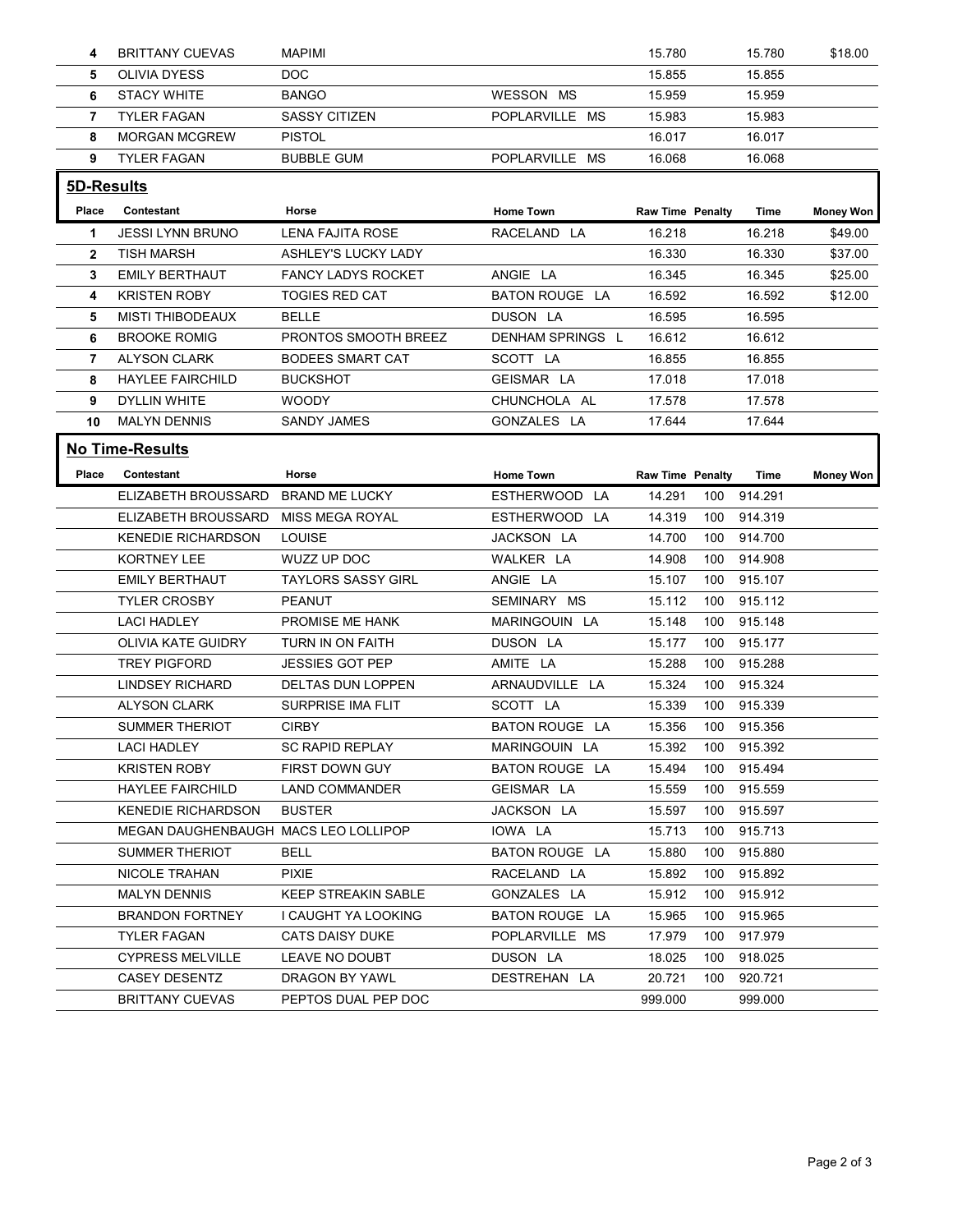| 4<br>5.            |                                               |                                         |                            |                         |                                  |                    |
|--------------------|-----------------------------------------------|-----------------------------------------|----------------------------|-------------------------|----------------------------------|--------------------|
|                    |                                               |                                         |                            |                         |                                  |                    |
|                    |                                               |                                         |                            |                         |                                  |                    |
|                    |                                               |                                         |                            |                         |                                  |                    |
|                    | <b>BRITTANY CUEVAS</b>                        | <b>MAPIMI</b>                           |                            | 15.780                  | 15.780                           | \$18.00            |
|                    | OLIVIA DYESS                                  | <b>DOC</b>                              |                            | 15.855                  | 15.855                           |                    |
| 6                  | <b>STACY WHITE</b>                            | <b>BANGO</b>                            | WESSON MS                  | 15.959                  | 15.959                           |                    |
| $\overline{7}$     | <b>TYLER FAGAN</b>                            | <b>SASSY CITIZEN</b>                    | POPLARVILLE MS             | 15.983                  | 15.983                           |                    |
| 8<br>9             | <b>MORGAN MCGREW</b><br>TYLER FAGAN           | <b>PISTOL</b><br><b>BUBBLE GUM</b>      | POPLARVILLE MS             | 16.017<br>16.068        | 16.017<br>16.068                 |                    |
|                    |                                               |                                         |                            |                         |                                  |                    |
|                    | 5D-Results                                    |                                         |                            |                         |                                  |                    |
| Place              | Contestant                                    | Horse                                   | <b>Home Town</b>           | <b>Raw Time Penalty</b> | Time                             | <b>Money Won</b>   |
| -1<br>$\mathbf{2}$ | <b>JESSI LYNN BRUNO</b><br>TISH MARSH         | LENA FAJITA ROSE<br>ASHLEY'S LUCKY LADY | RACELAND LA                | 16.218<br>16.330        | 16.218<br>16.330                 | \$49.00<br>\$37.00 |
| 3                  | <b>EMILY BERTHAUT</b>                         | <b>FANCY LADYS ROCKET</b>               | ANGIE LA                   | 16.345                  | 16.345                           | \$25.00            |
| 4                  | <b>KRISTEN ROBY</b>                           | <b>TOGIES RED CAT</b>                   | <b>BATON ROUGE LA</b>      | 16.592                  | 16.592                           | \$12.00            |
| 5                  | MISTI THIBODEAUX                              | <b>BELLE</b>                            | DUSON LA                   | 16.595                  | 16.595                           |                    |
| 6                  | <b>BROOKE ROMIG</b>                           | PRONTOS SMOOTH BREEZ                    | DENHAM SPRINGS L           | 16.612                  | 16.612                           |                    |
|                    | 7 ALYSON CLARK                                | <b>BODEES SMART CAT</b>                 | SCOTT LA                   | 16.855                  | 16.855                           |                    |
| 8                  | <b>HAYLEE FAIRCHILD</b>                       | <b>BUCKSHOT</b>                         | GEISMAR LA                 | 17.018                  | 17.018                           |                    |
| 9                  | <b>DYLLIN WHITE</b>                           | <b>WOODY</b>                            | CHUNCHOLA AL               | 17.578                  | 17.578                           |                    |
|                    | 10 MALYN DENNIS                               | SANDY JAMES                             | GONZALES LA                | 17.644                  | 17.644                           |                    |
|                    | <b>No Time-Results</b>                        |                                         |                            |                         |                                  |                    |
|                    | Place Contestant                              | Horse                                   | <b>Home Town</b>           | Raw Time Penalty        | Time                             | <b>Money Won</b>   |
|                    | ELIZABETH BROUSSARD                           | <b>BRAND ME LUCKY</b>                   | ESTHERWOOD LA              | 14.291                  | 100 914.291                      |                    |
|                    | ELIZABETH BROUSSARD MISS MEGA ROYAL           |                                         | ESTHERWOOD LA              | 14.319                  | 100 914.319                      |                    |
|                    | <b>KENEDIE RICHARDSON</b><br>KORTNEY LEE      | LOUISE<br>WUZZ UP DOC                   | JACKSON LA<br>WALKER LA    | 14.700<br>14.908        | 914.700<br>100<br>100<br>914.908 |                    |
|                    | <b>EMILY BERTHAUT</b>                         | <b>TAYLORS SASSY GIRL</b>               | ANGIE LA                   | 15.107                  | 915.107<br>100                   |                    |
|                    |                                               | PEANUT                                  | SEMINARY MS                | 15.112                  | 100 915.112                      |                    |
|                    |                                               |                                         | MARINGOUIN LA              | 15.148                  | 915.148<br>100                   |                    |
|                    | <b>TYLER CROSBY</b><br><b>LACI HADLEY</b>     | PROMISE ME HANK                         |                            |                         |                                  |                    |
|                    | OLIVIA KATE GUIDRY                            | TURN IN ON FAITH                        | DUSON LA                   | 15.177                  | 915.177<br>100                   |                    |
|                    | <b>TREY PIGFORD</b>                           | <b>JESSIES GOT PEP</b>                  | AMITE LA                   | 15.288                  | 915.288<br>100                   |                    |
|                    | LINDSEY RICHARD                               | DELTAS DUN LOPPEN                       | ARNAUDVILLE LA             | 15.324                  | 100 915.324                      |                    |
|                    | <b>ALYSON CLARK</b>                           | SURPRISE IMA FLIT                       | SCOTT LA                   | 15.339                  | 100<br>915.339                   |                    |
|                    | <b>SUMMER THERIOT</b>                         | <b>CIRBY</b>                            | BATON ROUGE LA             | 15.356                  | 915.356<br>100                   |                    |
|                    | <b>LACI HADLEY</b>                            | <b>SC RAPID REPLAY</b>                  | MARINGOUIN LA              | 15.392                  | 100<br>915.392                   |                    |
|                    | <b>KRISTEN ROBY</b>                           | FIRST DOWN GUY                          | BATON ROUGE LA             | 15.494                  | 100 915.494                      |                    |
|                    | <b>HAYLEE FAIRCHILD</b>                       | <b>LAND COMMANDER</b>                   | GEISMAR LA                 | 15.559                  | 915.559<br>100                   |                    |
|                    | <b>KENEDIE RICHARDSON</b>                     | <b>BUSTER</b>                           | JACKSON LA                 | 15.597                  | 100<br>915.597                   |                    |
|                    | MEGAN DAUGHENBAUGH MACS LEO LOLLIPOP          |                                         | IOWA LA                    | 15.713                  | 915.713<br>100                   |                    |
|                    | <b>SUMMER THERIOT</b><br><b>NICOLE TRAHAN</b> | <b>BELL</b><br><b>PIXIE</b>             | BATON ROUGE LA             | 15.880                  | 915.880<br>100<br>100            |                    |
|                    | <b>MALYN DENNIS</b>                           | <b>KEEP STREAKIN SABLE</b>              | RACELAND LA<br>GONZALES LA | 15.892<br>15.912        | 915.892<br>915.912<br>100        |                    |
|                    | <b>BRANDON FORTNEY</b>                        | I CAUGHT YA LOOKING                     | BATON ROUGE LA             | 15.965                  | 915.965<br>100                   |                    |
|                    | <b>TYLER FAGAN</b>                            | <b>CATS DAISY DUKE</b>                  | POPLARVILLE MS             | 17.979                  | 100 917.979                      |                    |
|                    | <b>CYPRESS MELVILLE</b>                       | LEAVE NO DOUBT                          | DUSON LA                   | 18.025                  | 918.025<br>100                   |                    |
|                    | <b>CASEY DESENTZ</b>                          | DRAGON BY YAWL                          | DESTREHAN LA               | 20.721                  | 100<br>920.721                   |                    |